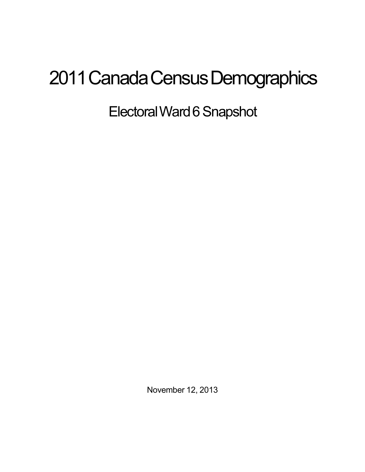## 2011 Canada Census Demographics

Electoral Ward 6 Snapshot

November 12, 2013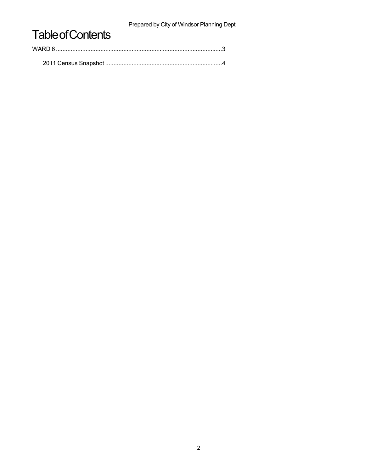Prepared by City of Windsor Planning Dept

## **Table of Contents**

| WARD 6 |  |  |
|--------|--|--|
|        |  |  |
|        |  |  |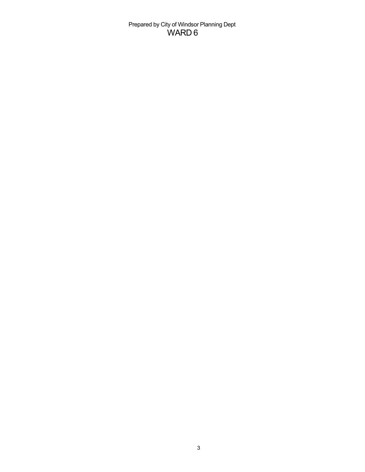Prepared by City of Windsor Planning Dept WARD 6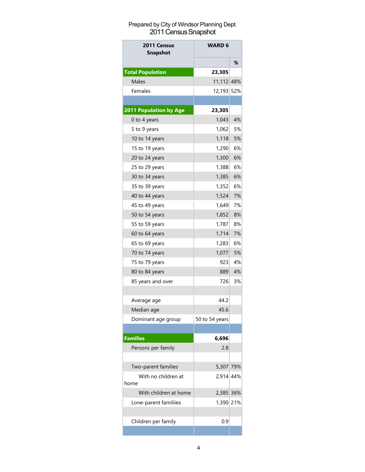## Prepared by City of Windsor Planning Dept 2011 Census Snapshot

| 2011 Census<br><b>Snapshot</b> | <b>WARD 6</b>  |    |
|--------------------------------|----------------|----|
|                                |                | ℅  |
| <b>Total Population</b>        | 23,305         |    |
| Males                          | 11,112 48%     |    |
| Females                        | 12,193 52%     |    |
|                                |                |    |
| 2011 Population by Age         | 23,305         |    |
| 0 to 4 years                   | 1,043          | 4% |
| 5 to 9 years                   | 1,062          | 5% |
| 10 to 14 years                 | 1,118          | 5% |
| 15 to 19 years                 | 1,290          | 6% |
| 20 to 24 years                 | 1,300          | 6% |
| 25 to 29 years                 | 1,388          | 6% |
| 30 to 34 years                 | 1,385          | 6% |
| 35 to 39 years                 | 1,352          | 6% |
| 40 to 44 years                 | 1,524          | 7% |
| 45 to 49 years                 | 1,649          | 7% |
| 50 to 54 years                 | 1,852          | 8% |
| 55 to 59 years                 | 1,787          | 8% |
| 60 to 64 years                 | 1,714          | 7% |
| 65 to 69 years                 | 1,283          | 6% |
| 70 to 74 years                 | 1,077          | 5% |
| 75 to 79 years                 | 923            | 4% |
| 80 to 84 years                 | 889            | 4% |
| 85 years and over              | 726            | 3% |
|                                |                |    |
| Average age                    | 44.2           |    |
| Median age                     | 45.6           |    |
| Dominant age group             | 50 to 54 years |    |
|                                |                |    |
| <b>Families</b>                | 6,696          |    |
| Persons per family             | 2.8            |    |
|                                |                |    |
| Two-parent families            | 5,307 79%      |    |
| With no children at            | 2,914 44%      |    |
| home                           |                |    |
| With children at home          | 2,385 36%      |    |
| Lone-parent familiies          | 1,390 21%      |    |
|                                |                |    |
| Children per family            | 0.9            |    |
|                                |                |    |